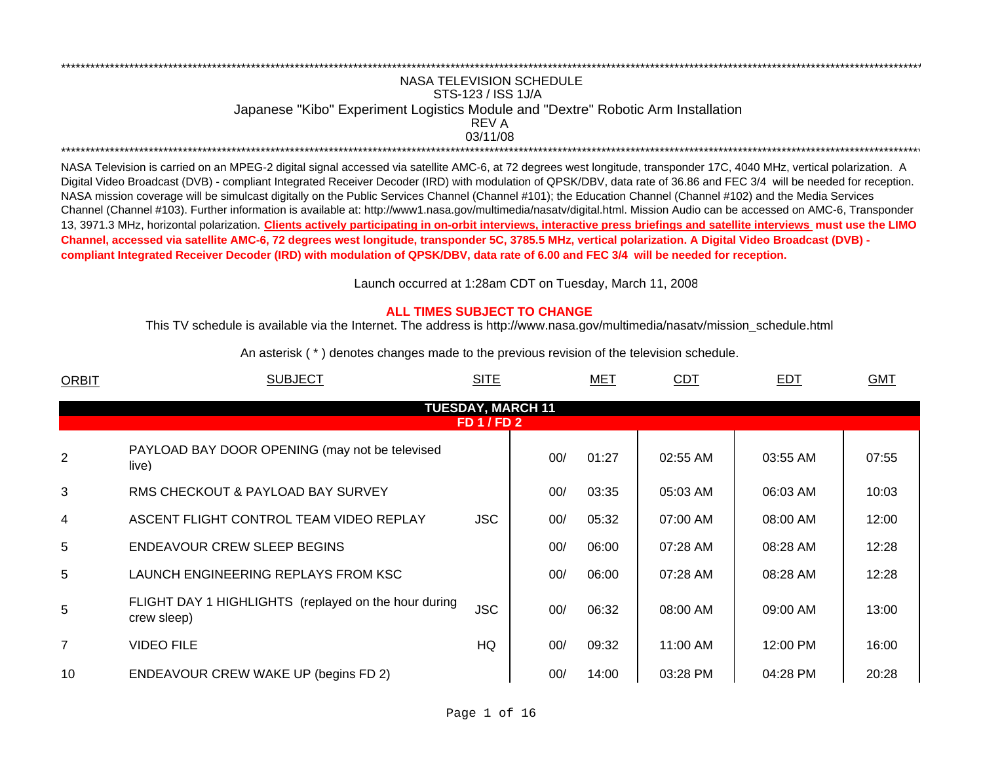## REV ANASA TELEVISION SCHEDULESTS-123 / ISS 1J/A Japanese "Kibo" Experiment Logistics Module and "Dextre" Robotic Arm Installation 03/11/08\*\*\*\*\*\*\*\*\*\*\*\*\*\*\*\*\*\*\*\*\*\*\*\*\*\*\*\*\*\*\*\*\*\*\*\*\*\*\*\*\*\*\*\*\*\*\*\*\*\*\*\*\*\*\*\*\*\*\*\*\*\*\*\*\*\*\*\*\*\*\*\*\*\*\*\*\*\*\*\*\*\*\*\*\*\*\*\*\*\*\*\*\*\*\*\*\*\*\*\*\*\*\*\*\*\*\*\*\*\*\*\*\*\*\*\*\*\*\*\*\*\*\*\*\*\*\*\*\*\*\*\*\*\*\*\*\*\*\*\*\*\*\*\*\*\*\*\*\*\*\*\*\*\*\*\*\*\*\*\*\*\*\*\*\*\*\*\*\*\*\*\*\*\*\*\*\*

\*\*\*\*\*\*\*\*\*\*\*\*\*\*\*\*\*\*\*\*\*\*\*\*\*\*\*\*\*\*\*\*\*\*\*\*\*\*\*\*\*\*\*\*\*\*\*\*\*\*\*\*\*\*\*\*\*\*\*\*\*\*\*\*\*\*\*\*\*\*\*\*\*\*\*\*\*\*\*\*\*\*\*\*\*\*\*\*\*\*\*\*\*\*\*\*\*\*\*\*\*\*\*\*\*\*\*\*\*\*\*\*\*\*\*\*\*\*\*\*\*\*\*\*\*\*\*\*\*\*\*\*\*\*\*\*\*\*\*\*\*\*\*\*\*\*\*\*\*\*\*\*\*\*\*\*\*\*\*\*\*\*\*\*\*\*\*\*\*\*\*\*\*\*\*\*\*

NASA Television is carried on an MPEG-2 digital signal accessed via satellite AMC-6, at 72 degrees west longitude, transponder 17C, 4040 MHz, vertical polarization. A Digital Video Broadcast (DVB) - compliant Integrated Receiver Decoder (IRD) with modulation of QPSK/DBV, data rate of 36.86 and FEC 3/4 will be needed for reception. NASA mission coverage will be simulcast digitally on the Public Services Channel (Channel #101); the Education Channel (Channel #102) and the Media Services Channel (Channel #103). Further information is available at: http://www1.nasa.gov/multimedia/nasatv/digital.html. Mission Audio can be accessed on AMC-6, Transponder 13, 3971.3 MHz, horizontal polarization. **Clients actively participating in on-orbit interviews, interactive press briefings and satellite interviews must use the LIMO Channel, accessed via satellite AMC-6, 72 degrees west longitude, transponder 5C, 3785.5 MHz, vertical polarization. A Digital Video Broadcast (DVB) compliant Integrated Receiver Decoder (IRD) with modulation of QPSK/DBV, data rate of 6.00 and FEC 3/4 will be needed for reception.**

Launch occurred at 1:28am CDT on Tuesday, March 11, 200 8

## **ALL TIMES SUBJECT TO CHANGE**

This TV schedule is available via the Internet. The address is http://www.nasa.gov/multimedia/nasatv/mission\_schedule.html

An asterisk ( \* ) denotes changes made to the previous revision of the television schedule.

| <b>ORBIT</b>   | <b>SUBJECT</b>                                                      | <b>SITE</b>              |     | <b>MET</b> | CDT      | <b>EDT</b> | <b>GMT</b> |
|----------------|---------------------------------------------------------------------|--------------------------|-----|------------|----------|------------|------------|
|                |                                                                     | <b>TUESDAY, MARCH 11</b> |     |            |          |            |            |
|                |                                                                     | <b>FD 1 / FD 2</b>       |     |            |          |            |            |
| $\overline{2}$ | PAYLOAD BAY DOOR OPENING (may not be televised<br>live)             |                          | 00/ | 01:27      | 02:55 AM | 03:55 AM   | 07:55      |
| 3              | RMS CHECKOUT & PAYLOAD BAY SURVEY                                   |                          | 00/ | 03:35      | 05:03 AM | 06:03 AM   | 10:03      |
| $\overline{4}$ | ASCENT FLIGHT CONTROL TEAM VIDEO REPLAY                             | <b>JSC</b>               | 00/ | 05:32      | 07:00 AM | 08:00 AM   | 12:00      |
| 5              | ENDEAVOUR CREW SLEEP BEGINS                                         |                          | 00/ | 06:00      | 07:28 AM | 08:28 AM   | 12:28      |
| 5              | LAUNCH ENGINEERING REPLAYS FROM KSC                                 |                          | 00/ | 06:00      | 07:28 AM | 08:28 AM   | 12:28      |
| 5              | FLIGHT DAY 1 HIGHLIGHTS (replayed on the hour during<br>crew sleep) | <b>JSC</b>               | 00/ | 06:32      | 08:00 AM | 09:00 AM   | 13:00      |
| 7              | <b>VIDEO FILE</b>                                                   | HQ                       | 00/ | 09:32      | 11:00 AM | 12:00 PM   | 16:00      |
| 10             | ENDEAVOUR CREW WAKE UP (begins FD 2)                                |                          | 00/ | 14:00      | 03:28 PM | 04:28 PM   | 20:28      |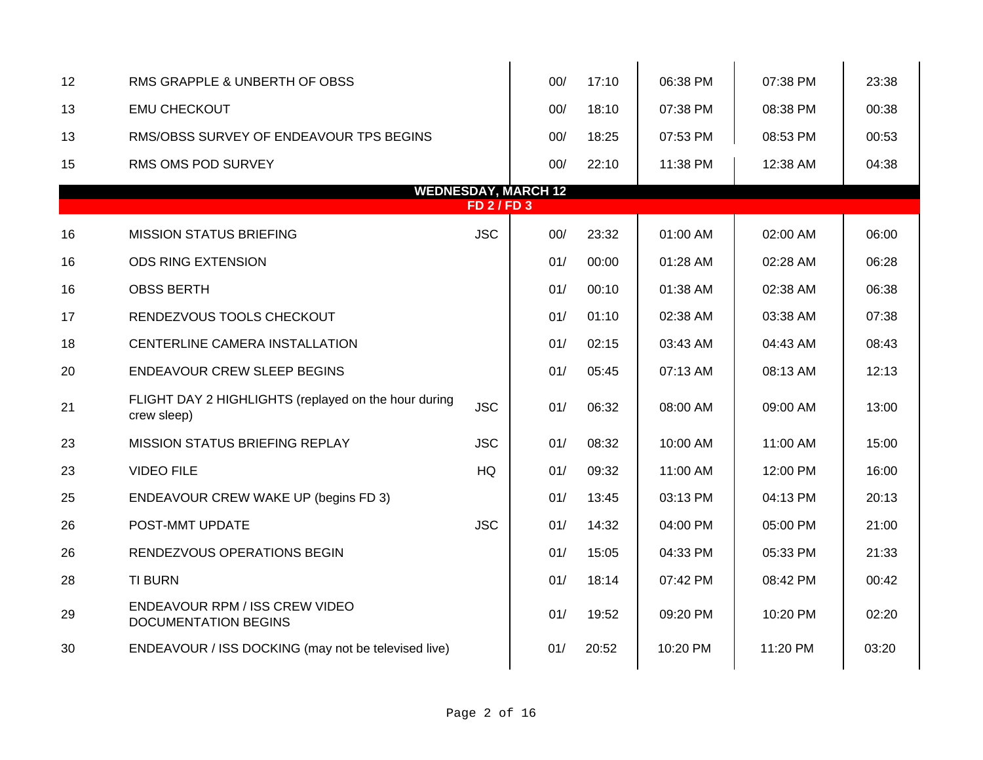| 12 | RMS GRAPPLE & UNBERTH OF OBSS                                       |            | 00/                        | 17:10 | 06:38 PM | 07:38 PM | 23:38 |  |  |  |  |
|----|---------------------------------------------------------------------|------------|----------------------------|-------|----------|----------|-------|--|--|--|--|
| 13 | <b>EMU CHECKOUT</b>                                                 |            | 00/                        | 18:10 | 07:38 PM | 08:38 PM | 00:38 |  |  |  |  |
| 13 | RMS/OBSS SURVEY OF ENDEAVOUR TPS BEGINS                             |            | 00/                        | 18:25 | 07:53 PM | 08:53 PM | 00:53 |  |  |  |  |
| 15 | <b>RMS OMS POD SURVEY</b>                                           |            | 00/                        | 22:10 | 11:38 PM | 12:38 AM | 04:38 |  |  |  |  |
|    |                                                                     |            | <b>WEDNESDAY, MARCH 12</b> |       |          |          |       |  |  |  |  |
|    | <b>FD 2/FD 3</b>                                                    |            |                            |       |          |          |       |  |  |  |  |
| 16 | <b>MISSION STATUS BRIEFING</b>                                      | <b>JSC</b> | 00/                        | 23:32 | 01:00 AM | 02:00 AM | 06:00 |  |  |  |  |
| 16 | <b>ODS RING EXTENSION</b>                                           |            | 01/                        | 00:00 | 01:28 AM | 02:28 AM | 06:28 |  |  |  |  |
| 16 | <b>OBSS BERTH</b>                                                   |            | 01/                        | 00:10 | 01:38 AM | 02:38 AM | 06:38 |  |  |  |  |
| 17 | RENDEZVOUS TOOLS CHECKOUT                                           |            | 01/                        | 01:10 | 02:38 AM | 03:38 AM | 07:38 |  |  |  |  |
| 18 | CENTERLINE CAMERA INSTALLATION                                      |            | 01/                        | 02:15 | 03:43 AM | 04:43 AM | 08:43 |  |  |  |  |
| 20 | ENDEAVOUR CREW SLEEP BEGINS                                         |            | 01/                        | 05:45 | 07:13 AM | 08:13 AM | 12:13 |  |  |  |  |
| 21 | FLIGHT DAY 2 HIGHLIGHTS (replayed on the hour during<br>crew sleep) | <b>JSC</b> | 01/                        | 06:32 | 08:00 AM | 09:00 AM | 13:00 |  |  |  |  |
| 23 | <b>MISSION STATUS BRIEFING REPLAY</b>                               | <b>JSC</b> | 01/                        | 08:32 | 10:00 AM | 11:00 AM | 15:00 |  |  |  |  |
| 23 | <b>VIDEO FILE</b>                                                   | HQ         | 01/                        | 09:32 | 11:00 AM | 12:00 PM | 16:00 |  |  |  |  |
| 25 | <b>ENDEAVOUR CREW WAKE UP (begins FD 3)</b>                         |            | 01/                        | 13:45 | 03:13 PM | 04:13 PM | 20:13 |  |  |  |  |
| 26 | POST-MMT UPDATE                                                     | <b>JSC</b> | 01/                        | 14:32 | 04:00 PM | 05:00 PM | 21:00 |  |  |  |  |
| 26 | RENDEZVOUS OPERATIONS BEGIN                                         |            | 01/                        | 15:05 | 04:33 PM | 05:33 PM | 21:33 |  |  |  |  |
| 28 | <b>TI BURN</b>                                                      |            | 01/                        | 18:14 | 07:42 PM | 08:42 PM | 00:42 |  |  |  |  |
| 29 | ENDEAVOUR RPM / ISS CREW VIDEO<br><b>DOCUMENTATION BEGINS</b>       |            | 01/                        | 19:52 | 09:20 PM | 10:20 PM | 02:20 |  |  |  |  |
| 30 | ENDEAVOUR / ISS DOCKING (may not be televised live)                 |            | 01/                        | 20:52 | 10:20 PM | 11:20 PM | 03:20 |  |  |  |  |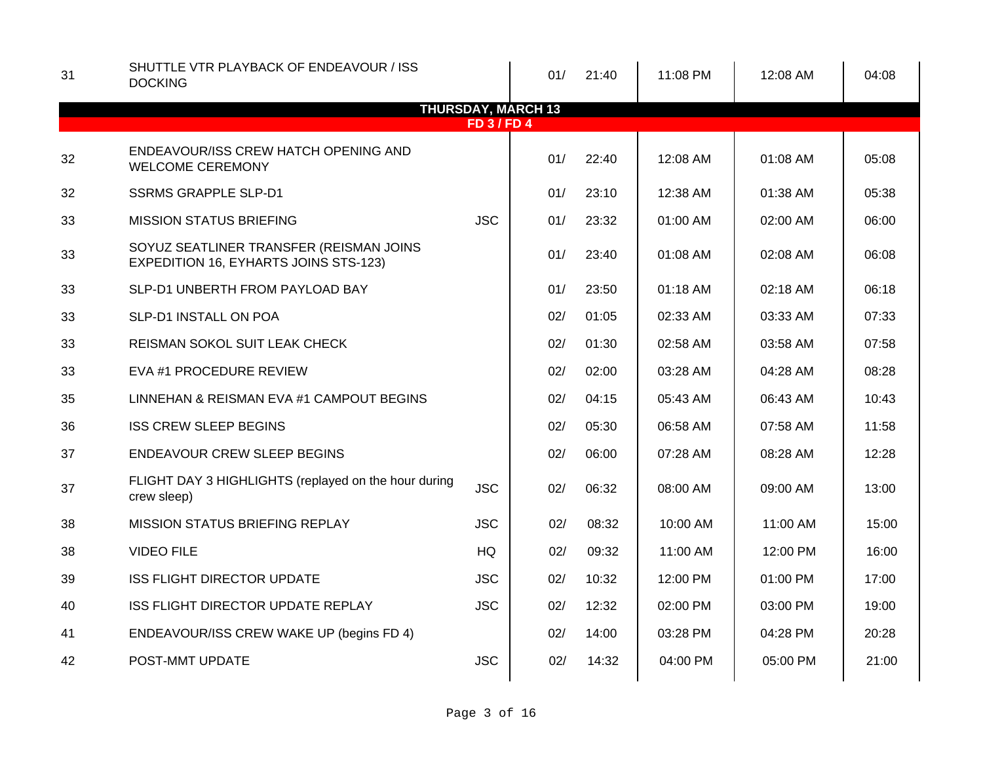| 31 | SHUTTLE VTR PLAYBACK OF ENDEAVOUR / ISS<br><b>DOCKING</b>                               |                  | 01/                       | 21:40 | 11:08 PM | 12:08 AM | 04:08 |
|----|-----------------------------------------------------------------------------------------|------------------|---------------------------|-------|----------|----------|-------|
|    |                                                                                         | <b>FD 3/FD 4</b> | <b>THURSDAY, MARCH 13</b> |       |          |          |       |
| 32 | ENDEAVOUR/ISS CREW HATCH OPENING AND<br><b>WELCOME CEREMONY</b>                         |                  | 01/                       | 22:40 | 12:08 AM | 01:08 AM | 05:08 |
| 32 | <b>SSRMS GRAPPLE SLP-D1</b>                                                             |                  | 01/                       | 23:10 | 12:38 AM | 01:38 AM | 05:38 |
| 33 | <b>MISSION STATUS BRIEFING</b>                                                          | <b>JSC</b>       | 01/                       | 23:32 | 01:00 AM | 02:00 AM | 06:00 |
| 33 | SOYUZ SEATLINER TRANSFER (REISMAN JOINS<br><b>EXPEDITION 16, EYHARTS JOINS STS-123)</b> |                  | 01/                       | 23:40 | 01:08 AM | 02:08 AM | 06:08 |
| 33 | SLP-D1 UNBERTH FROM PAYLOAD BAY                                                         |                  | 01/                       | 23:50 | 01:18 AM | 02:18 AM | 06:18 |
| 33 | SLP-D1 INSTALL ON POA                                                                   |                  | 02/                       | 01:05 | 02:33 AM | 03:33 AM | 07:33 |
| 33 | REISMAN SOKOL SUIT LEAK CHECK                                                           |                  | 02/                       | 01:30 | 02:58 AM | 03:58 AM | 07:58 |
| 33 | EVA #1 PROCEDURE REVIEW                                                                 |                  | 02/                       | 02:00 | 03:28 AM | 04:28 AM | 08:28 |
| 35 | LINNEHAN & REISMAN EVA #1 CAMPOUT BEGINS                                                |                  | 02/                       | 04:15 | 05:43 AM | 06:43 AM | 10:43 |
| 36 | <b>ISS CREW SLEEP BEGINS</b>                                                            |                  | 02/                       | 05:30 | 06:58 AM | 07:58 AM | 11:58 |
| 37 | <b>ENDEAVOUR CREW SLEEP BEGINS</b>                                                      |                  | 02/                       | 06:00 | 07:28 AM | 08:28 AM | 12:28 |
| 37 | FLIGHT DAY 3 HIGHLIGHTS (replayed on the hour during<br>crew sleep)                     | <b>JSC</b>       | 02/                       | 06:32 | 08:00 AM | 09:00 AM | 13:00 |
| 38 | <b>MISSION STATUS BRIEFING REPLAY</b>                                                   | <b>JSC</b>       | 02/                       | 08:32 | 10:00 AM | 11:00 AM | 15:00 |
| 38 | <b>VIDEO FILE</b>                                                                       | HQ               | 02/                       | 09:32 | 11:00 AM | 12:00 PM | 16:00 |
| 39 | <b>ISS FLIGHT DIRECTOR UPDATE</b>                                                       | <b>JSC</b>       | 02/                       | 10:32 | 12:00 PM | 01:00 PM | 17:00 |
| 40 | ISS FLIGHT DIRECTOR UPDATE REPLAY                                                       | <b>JSC</b>       | 02/                       | 12:32 | 02:00 PM | 03:00 PM | 19:00 |
| 41 | ENDEAVOUR/ISS CREW WAKE UP (begins FD 4)                                                |                  | 02/                       | 14:00 | 03:28 PM | 04:28 PM | 20:28 |
| 42 | POST-MMT UPDATE                                                                         | <b>JSC</b>       | 02/                       | 14:32 | 04:00 PM | 05:00 PM | 21:00 |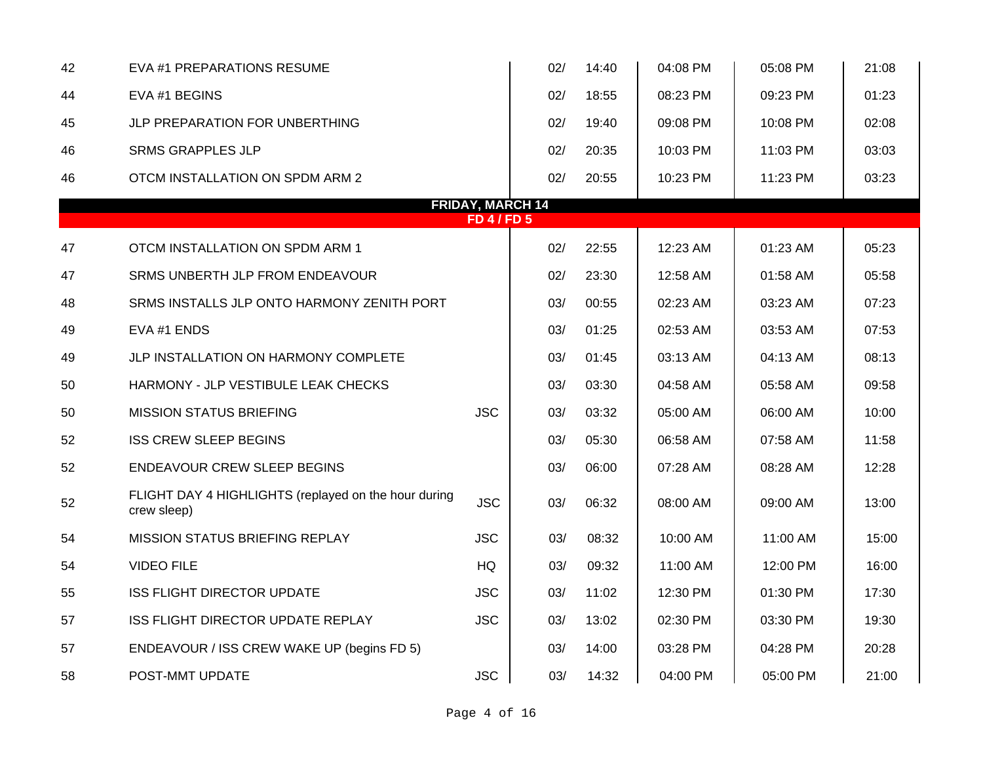| 42 | EVA #1 PREPARATIONS RESUME                                          |                                               | 02/ | 14:40 | 04:08 PM | 05:08 PM | 21:08 |
|----|---------------------------------------------------------------------|-----------------------------------------------|-----|-------|----------|----------|-------|
| 44 | EVA #1 BEGINS                                                       |                                               | 02/ | 18:55 | 08:23 PM | 09:23 PM | 01:23 |
| 45 | JLP PREPARATION FOR UNBERTHING                                      |                                               | 02/ | 19:40 | 09:08 PM | 10:08 PM | 02:08 |
| 46 | <b>SRMS GRAPPLES JLP</b>                                            |                                               | 02/ | 20:35 | 10:03 PM | 11:03 PM | 03:03 |
| 46 | OTCM INSTALLATION ON SPDM ARM 2                                     |                                               | 02/ | 20:55 | 10:23 PM | 11:23 PM | 03:23 |
|    |                                                                     | <b>FRIDAY, MARCH 14</b><br><b>FD 4 / FD 5</b> |     |       |          |          |       |
|    |                                                                     |                                               |     |       |          |          |       |
| 47 | OTCM INSTALLATION ON SPDM ARM 1                                     |                                               | 02/ | 22:55 | 12:23 AM | 01:23 AM | 05:23 |
| 47 | SRMS UNBERTH JLP FROM ENDEAVOUR                                     |                                               | 02/ | 23:30 | 12:58 AM | 01:58 AM | 05:58 |
| 48 | SRMS INSTALLS JLP ONTO HARMONY ZENITH PORT                          |                                               | 03/ | 00:55 | 02:23 AM | 03:23 AM | 07:23 |
| 49 | EVA #1 ENDS                                                         |                                               | 03/ | 01:25 | 02:53 AM | 03:53 AM | 07:53 |
| 49 | JLP INSTALLATION ON HARMONY COMPLETE                                |                                               | 03/ | 01:45 | 03:13 AM | 04:13 AM | 08:13 |
| 50 | HARMONY - JLP VESTIBULE LEAK CHECKS                                 |                                               | 03/ | 03:30 | 04:58 AM | 05:58 AM | 09:58 |
| 50 | <b>MISSION STATUS BRIEFING</b>                                      | <b>JSC</b>                                    | 03/ | 03:32 | 05:00 AM | 06:00 AM | 10:00 |
| 52 | <b>ISS CREW SLEEP BEGINS</b>                                        |                                               | 03/ | 05:30 | 06:58 AM | 07:58 AM | 11:58 |
| 52 | <b>ENDEAVOUR CREW SLEEP BEGINS</b>                                  |                                               | 03/ | 06:00 | 07:28 AM | 08:28 AM | 12:28 |
| 52 | FLIGHT DAY 4 HIGHLIGHTS (replayed on the hour during<br>crew sleep) | <b>JSC</b>                                    | 03/ | 06:32 | 08:00 AM | 09:00 AM | 13:00 |
| 54 | <b>MISSION STATUS BRIEFING REPLAY</b>                               | <b>JSC</b>                                    | 03/ | 08:32 | 10:00 AM | 11:00 AM | 15:00 |
| 54 | <b>VIDEO FILE</b>                                                   | HQ                                            | 03/ | 09:32 | 11:00 AM | 12:00 PM | 16:00 |
| 55 | <b>ISS FLIGHT DIRECTOR UPDATE</b>                                   | <b>JSC</b>                                    | 03/ | 11:02 | 12:30 PM | 01:30 PM | 17:30 |
| 57 | ISS FLIGHT DIRECTOR UPDATE REPLAY                                   | <b>JSC</b>                                    | 03/ | 13:02 | 02:30 PM | 03:30 PM | 19:30 |
| 57 | ENDEAVOUR / ISS CREW WAKE UP (begins FD 5)                          |                                               | 03/ | 14:00 | 03:28 PM | 04:28 PM | 20:28 |
| 58 | POST-MMT UPDATE                                                     | <b>JSC</b>                                    | 03/ | 14:32 | 04:00 PM | 05:00 PM | 21:00 |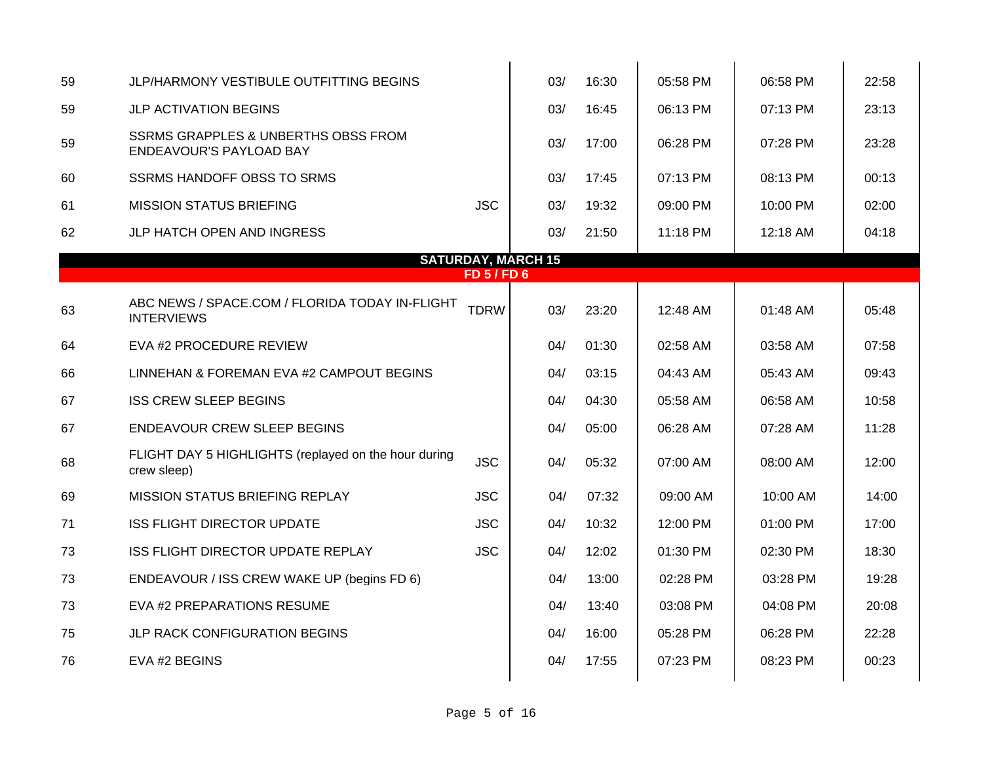| JLP/HARMONY VESTIBULE OUTFITTING BEGINS                                          |             | 03/ | 16:30                                         | 05:58 PM | 06:58 PM | 22:58 |
|----------------------------------------------------------------------------------|-------------|-----|-----------------------------------------------|----------|----------|-------|
| <b>JLP ACTIVATION BEGINS</b>                                                     |             | 03/ | 16:45                                         | 06:13 PM | 07:13 PM | 23:13 |
| <b>SSRMS GRAPPLES &amp; UNBERTHS OBSS FROM</b><br><b>ENDEAVOUR'S PAYLOAD BAY</b> |             | 03/ | 17:00                                         | 06:28 PM | 07:28 PM | 23:28 |
| <b>SSRMS HANDOFF OBSS TO SRMS</b>                                                |             | 03/ | 17:45                                         | 07:13 PM | 08:13 PM | 00:13 |
| <b>MISSION STATUS BRIEFING</b>                                                   | <b>JSC</b>  | 03/ | 19:32                                         | 09:00 PM | 10:00 PM | 02:00 |
| JLP HATCH OPEN AND INGRESS                                                       |             | 03/ | 21:50                                         | 11:18 PM | 12:18 AM | 04:18 |
|                                                                                  |             |     |                                               |          |          |       |
|                                                                                  |             |     |                                               |          |          |       |
| ABC NEWS / SPACE.COM / FLORIDA TODAY IN-FLIGHT<br><b>INTERVIEWS</b>              | <b>TDRW</b> | 03/ | 23:20                                         | 12:48 AM | 01:48 AM | 05:48 |
| EVA #2 PROCEDURE REVIEW                                                          |             | 04/ | 01:30                                         | 02:58 AM | 03:58 AM | 07:58 |
| LINNEHAN & FOREMAN EVA #2 CAMPOUT BEGINS                                         |             | 04/ | 03:15                                         | 04:43 AM | 05:43 AM | 09:43 |
| <b>ISS CREW SLEEP BEGINS</b>                                                     |             | 04/ | 04:30                                         | 05:58 AM | 06:58 AM | 10:58 |
| ENDEAVOUR CREW SLEEP BEGINS                                                      |             | 04/ | 05:00                                         | 06:28 AM | 07:28 AM | 11:28 |
| FLIGHT DAY 5 HIGHLIGHTS (replayed on the hour during<br>crew sleep)              | <b>JSC</b>  | 04/ | 05:32                                         | 07:00 AM | 08:00 AM | 12:00 |
| <b>MISSION STATUS BRIEFING REPLAY</b>                                            | <b>JSC</b>  | 04/ | 07:32                                         | 09:00 AM | 10:00 AM | 14:00 |
| <b>ISS FLIGHT DIRECTOR UPDATE</b>                                                | <b>JSC</b>  | 04/ | 10:32                                         | 12:00 PM | 01:00 PM | 17:00 |
| ISS FLIGHT DIRECTOR UPDATE REPLAY                                                | <b>JSC</b>  | 04/ | 12:02                                         | 01:30 PM | 02:30 PM | 18:30 |
| ENDEAVOUR / ISS CREW WAKE UP (begins FD 6)                                       |             | 04/ | 13:00                                         | 02:28 PM | 03:28 PM | 19:28 |
| EVA #2 PREPARATIONS RESUME                                                       |             | 04/ | 13:40                                         | 03:08 PM | 04:08 PM | 20:08 |
| JLP RACK CONFIGURATION BEGINS                                                    |             | 04/ | 16:00                                         | 05:28 PM | 06:28 PM | 22:28 |
| EVA #2 BEGINS                                                                    |             | 04/ | 17:55                                         | 07:23 PM | 08:23 PM | 00:23 |
|                                                                                  |             |     | <b>SATURDAY, MARCH 15</b><br><b>FD 5/FD 6</b> |          |          |       |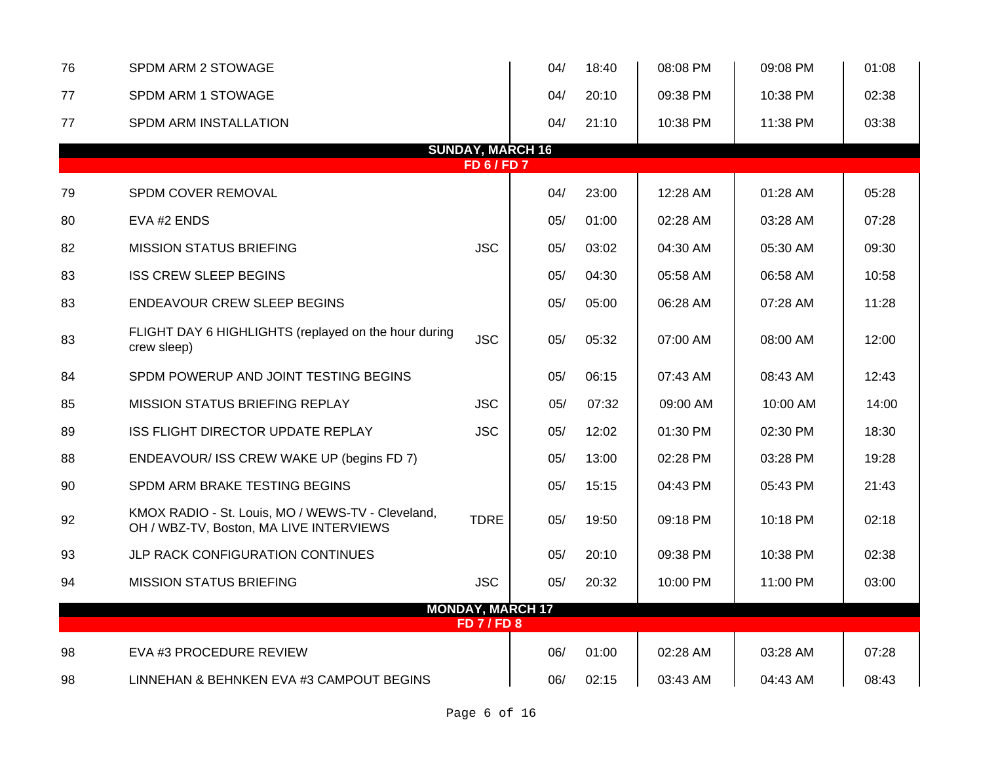| 76 | SPDM ARM 2 STOWAGE                                                                           |                         | 04/ | 18:40 | 08:08 PM | 09:08 PM | 01:08 |
|----|----------------------------------------------------------------------------------------------|-------------------------|-----|-------|----------|----------|-------|
| 77 | SPDM ARM 1 STOWAGE                                                                           |                         | 04/ | 20:10 | 09:38 PM | 10:38 PM | 02:38 |
| 77 | SPDM ARM INSTALLATION                                                                        |                         | 04/ | 21:10 | 10:38 PM | 11:38 PM | 03:38 |
|    |                                                                                              | <b>SUNDAY, MARCH 16</b> |     |       |          |          |       |
|    |                                                                                              | <b>FD6/FD7</b>          |     |       |          |          |       |
| 79 | SPDM COVER REMOVAL                                                                           |                         | 04/ | 23:00 | 12:28 AM | 01:28 AM | 05:28 |
| 80 | EVA #2 ENDS                                                                                  |                         | 05/ | 01:00 | 02:28 AM | 03:28 AM | 07:28 |
| 82 | <b>MISSION STATUS BRIEFING</b>                                                               | <b>JSC</b>              | 05/ | 03:02 | 04:30 AM | 05:30 AM | 09:30 |
| 83 | <b>ISS CREW SLEEP BEGINS</b>                                                                 |                         | 05/ | 04:30 | 05:58 AM | 06:58 AM | 10:58 |
| 83 | <b>ENDEAVOUR CREW SLEEP BEGINS</b>                                                           |                         | 05/ | 05:00 | 06:28 AM | 07:28 AM | 11:28 |
| 83 | FLIGHT DAY 6 HIGHLIGHTS (replayed on the hour during<br>crew sleep)                          | <b>JSC</b>              | 05/ | 05:32 | 07:00 AM | 08:00 AM | 12:00 |
| 84 | SPDM POWERUP AND JOINT TESTING BEGINS                                                        |                         | 05/ | 06:15 | 07:43 AM | 08:43 AM | 12:43 |
| 85 | <b>MISSION STATUS BRIEFING REPLAY</b>                                                        | <b>JSC</b>              | 05/ | 07:32 | 09:00 AM | 10:00 AM | 14:00 |
| 89 | <b>ISS FLIGHT DIRECTOR UPDATE REPLAY</b>                                                     | <b>JSC</b>              | 05/ | 12:02 | 01:30 PM | 02:30 PM | 18:30 |
| 88 | ENDEAVOUR/ ISS CREW WAKE UP (begins FD 7)                                                    |                         | 05/ | 13:00 | 02:28 PM | 03:28 PM | 19:28 |
| 90 | SPDM ARM BRAKE TESTING BEGINS                                                                |                         | 05/ | 15:15 | 04:43 PM | 05:43 PM | 21:43 |
| 92 | KMOX RADIO - St. Louis, MO / WEWS-TV - Cleveland,<br>OH / WBZ-TV, Boston, MA LIVE INTERVIEWS | <b>TDRE</b>             | 05/ | 19:50 | 09:18 PM | 10:18 PM | 02:18 |
| 93 | JLP RACK CONFIGURATION CONTINUES                                                             |                         | 05/ | 20:10 | 09:38 PM | 10:38 PM | 02:38 |
| 94 | <b>MISSION STATUS BRIEFING</b>                                                               | <b>JSC</b>              | 05/ | 20:32 | 10:00 PM | 11:00 PM | 03:00 |
|    |                                                                                              | <b>MONDAY, MARCH 17</b> |     |       |          |          |       |
|    |                                                                                              | <b>FD 7 / FD 8</b>      |     |       |          |          |       |
| 98 | EVA #3 PROCEDURE REVIEW                                                                      |                         | 06/ | 01:00 | 02:28 AM | 03:28 AM | 07:28 |
| 98 | LINNEHAN & BEHNKEN EVA #3 CAMPOUT BEGINS                                                     |                         | 06/ | 02:15 | 03:43 AM | 04:43 AM | 08:43 |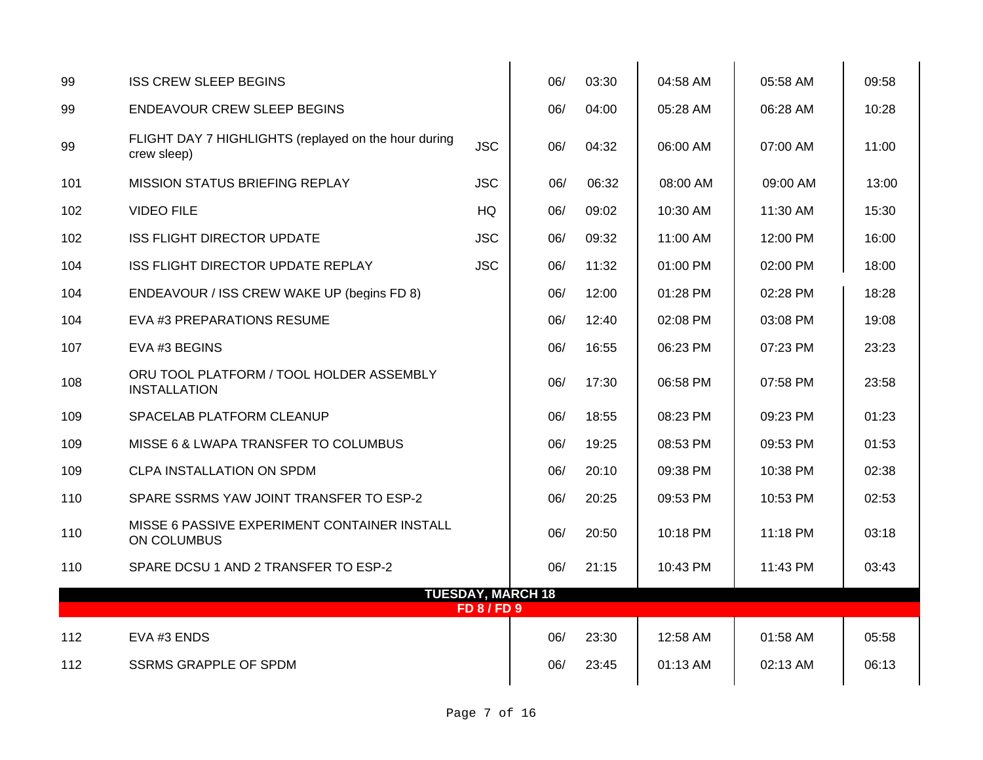| 99  | <b>ISS CREW SLEEP BEGINS</b>                                        |                  | 06/                      | 03:30 | 04:58 AM | 05:58 AM | 09:58 |
|-----|---------------------------------------------------------------------|------------------|--------------------------|-------|----------|----------|-------|
| 99  | <b>ENDEAVOUR CREW SLEEP BEGINS</b>                                  |                  | 06/                      | 04:00 | 05:28 AM | 06:28 AM | 10:28 |
| 99  | FLIGHT DAY 7 HIGHLIGHTS (replayed on the hour during<br>crew sleep) | <b>JSC</b>       | 06/                      | 04:32 | 06:00 AM | 07:00 AM | 11:00 |
| 101 | <b>MISSION STATUS BRIEFING REPLAY</b>                               | <b>JSC</b>       | 06/                      | 06:32 | 08:00 AM | 09:00 AM | 13:00 |
| 102 | <b>VIDEO FILE</b>                                                   | HQ               | 06/                      | 09:02 | 10:30 AM | 11:30 AM | 15:30 |
| 102 | <b>ISS FLIGHT DIRECTOR UPDATE</b>                                   | <b>JSC</b>       | 06/                      | 09:32 | 11:00 AM | 12:00 PM | 16:00 |
| 104 | ISS FLIGHT DIRECTOR UPDATE REPLAY                                   | <b>JSC</b>       | 06/                      | 11:32 | 01:00 PM | 02:00 PM | 18:00 |
| 104 | ENDEAVOUR / ISS CREW WAKE UP (begins FD 8)                          |                  | 06/                      | 12:00 | 01:28 PM | 02:28 PM | 18:28 |
| 104 | EVA #3 PREPARATIONS RESUME                                          |                  | 06/                      | 12:40 | 02:08 PM | 03:08 PM | 19:08 |
| 107 | EVA #3 BEGINS                                                       |                  | 06/                      | 16:55 | 06:23 PM | 07:23 PM | 23:23 |
| 108 | ORU TOOL PLATFORM / TOOL HOLDER ASSEMBLY<br><b>INSTALLATION</b>     |                  | 06/                      | 17:30 | 06:58 PM | 07:58 PM | 23:58 |
| 109 | SPACELAB PLATFORM CLEANUP                                           |                  | 06/                      | 18:55 | 08:23 PM | 09:23 PM | 01:23 |
| 109 | MISSE 6 & LWAPA TRANSFER TO COLUMBUS                                |                  | 06/                      | 19:25 | 08:53 PM | 09:53 PM | 01:53 |
| 109 | CLPA INSTALLATION ON SPDM                                           |                  | 06/                      | 20:10 | 09:38 PM | 10:38 PM | 02:38 |
| 110 | SPARE SSRMS YAW JOINT TRANSFER TO ESP-2                             |                  | 06/                      | 20:25 | 09:53 PM | 10:53 PM | 02:53 |
| 110 | MISSE 6 PASSIVE EXPERIMENT CONTAINER INSTALL<br>ON COLUMBUS         |                  | 06/                      | 20:50 | 10:18 PM | 11:18 PM | 03:18 |
| 110 | SPARE DCSU 1 AND 2 TRANSFER TO ESP-2                                |                  | 06/                      | 21:15 | 10:43 PM | 11:43 PM | 03:43 |
|     |                                                                     | <b>FD 8/FD 9</b> | <b>TUESDAY, MARCH 18</b> |       |          |          |       |
| 112 | EVA #3 ENDS                                                         |                  | 06/                      | 23:30 | 12:58 AM | 01:58 AM | 05:58 |
| 112 | <b>SSRMS GRAPPLE OF SPDM</b>                                        |                  | 06/                      | 23:45 | 01:13 AM | 02:13 AM | 06:13 |
|     |                                                                     |                  |                          |       |          |          |       |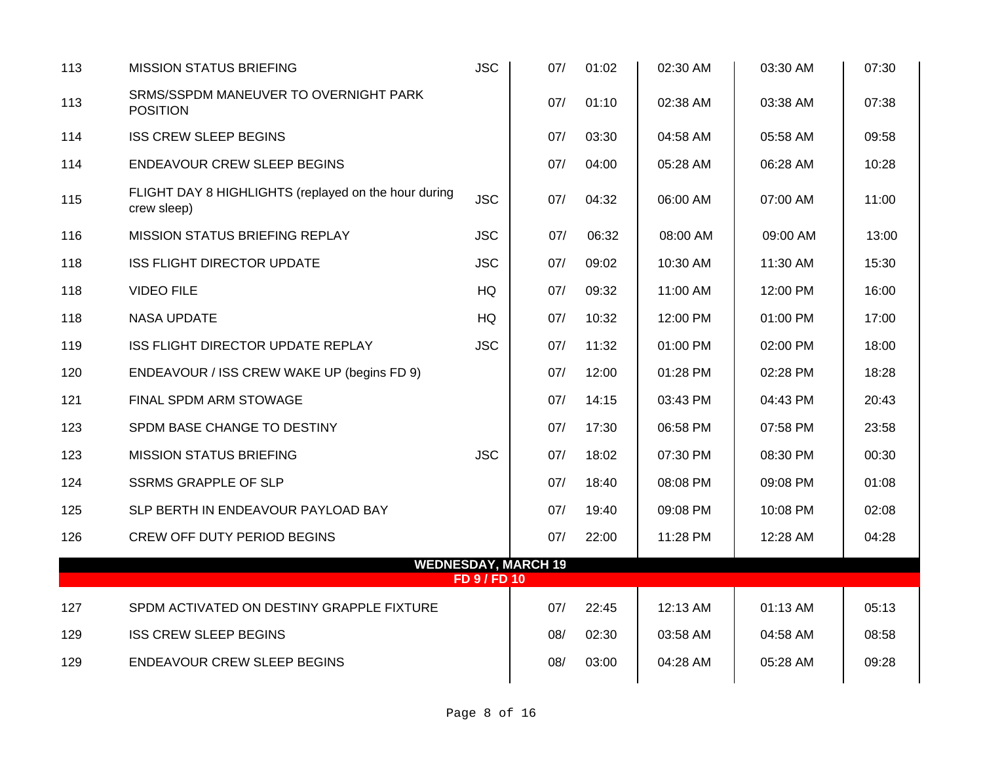| 113 | <b>MISSION STATUS BRIEFING</b>                                      | <b>JSC</b>   | 07/                        | 01:02 | 02:30 AM | 03:30 AM | 07:30 |
|-----|---------------------------------------------------------------------|--------------|----------------------------|-------|----------|----------|-------|
| 113 | SRMS/SSPDM MANEUVER TO OVERNIGHT PARK<br><b>POSITION</b>            |              | 07/                        | 01:10 | 02:38 AM | 03:38 AM | 07:38 |
| 114 | <b>ISS CREW SLEEP BEGINS</b>                                        |              | 07/                        | 03:30 | 04:58 AM | 05:58 AM | 09:58 |
| 114 | <b>ENDEAVOUR CREW SLEEP BEGINS</b>                                  |              | 07/                        | 04:00 | 05:28 AM | 06:28 AM | 10:28 |
| 115 | FLIGHT DAY 8 HIGHLIGHTS (replayed on the hour during<br>crew sleep) | <b>JSC</b>   | 07/                        | 04:32 | 06:00 AM | 07:00 AM | 11:00 |
| 116 | <b>MISSION STATUS BRIEFING REPLAY</b>                               | <b>JSC</b>   | 07/                        | 06:32 | 08:00 AM | 09:00 AM | 13:00 |
| 118 | <b>ISS FLIGHT DIRECTOR UPDATE</b>                                   | <b>JSC</b>   | 07/                        | 09:02 | 10:30 AM | 11:30 AM | 15:30 |
| 118 | <b>VIDEO FILE</b>                                                   | HQ           | 07/                        | 09:32 | 11:00 AM | 12:00 PM | 16:00 |
| 118 | <b>NASA UPDATE</b>                                                  | HQ           | 07/                        | 10:32 | 12:00 PM | 01:00 PM | 17:00 |
| 119 | ISS FLIGHT DIRECTOR UPDATE REPLAY                                   | <b>JSC</b>   | 07/                        | 11:32 | 01:00 PM | 02:00 PM | 18:00 |
| 120 | ENDEAVOUR / ISS CREW WAKE UP (begins FD 9)                          |              | 07/                        | 12:00 | 01:28 PM | 02:28 PM | 18:28 |
| 121 | FINAL SPDM ARM STOWAGE                                              |              | 07/                        | 14:15 | 03:43 PM | 04:43 PM | 20:43 |
| 123 | SPDM BASE CHANGE TO DESTINY                                         |              | 07/                        | 17:30 | 06:58 PM | 07:58 PM | 23:58 |
| 123 | <b>MISSION STATUS BRIEFING</b>                                      | <b>JSC</b>   | 07/                        | 18:02 | 07:30 PM | 08:30 PM | 00:30 |
| 124 | <b>SSRMS GRAPPLE OF SLP</b>                                         |              | 07/                        | 18:40 | 08:08 PM | 09:08 PM | 01:08 |
| 125 | SLP BERTH IN ENDEAVOUR PAYLOAD BAY                                  |              | 07/                        | 19:40 | 09:08 PM | 10:08 PM | 02:08 |
| 126 | <b>CREW OFF DUTY PERIOD BEGINS</b>                                  |              | 07/                        | 22:00 | 11:28 PM | 12:28 AM | 04:28 |
|     |                                                                     | FD 9 / FD 10 | <b>WEDNESDAY, MARCH 19</b> |       |          |          |       |
| 127 | SPDM ACTIVATED ON DESTINY GRAPPLE FIXTURE                           |              | 07/                        | 22:45 | 12:13 AM | 01:13 AM | 05:13 |
| 129 | <b>ISS CREW SLEEP BEGINS</b>                                        |              | 08/                        | 02:30 | 03:58 AM | 04:58 AM | 08:58 |
| 129 | <b>ENDEAVOUR CREW SLEEP BEGINS</b>                                  |              | 08/                        | 03:00 | 04:28 AM | 05:28 AM | 09:28 |
|     |                                                                     |              |                            |       |          |          |       |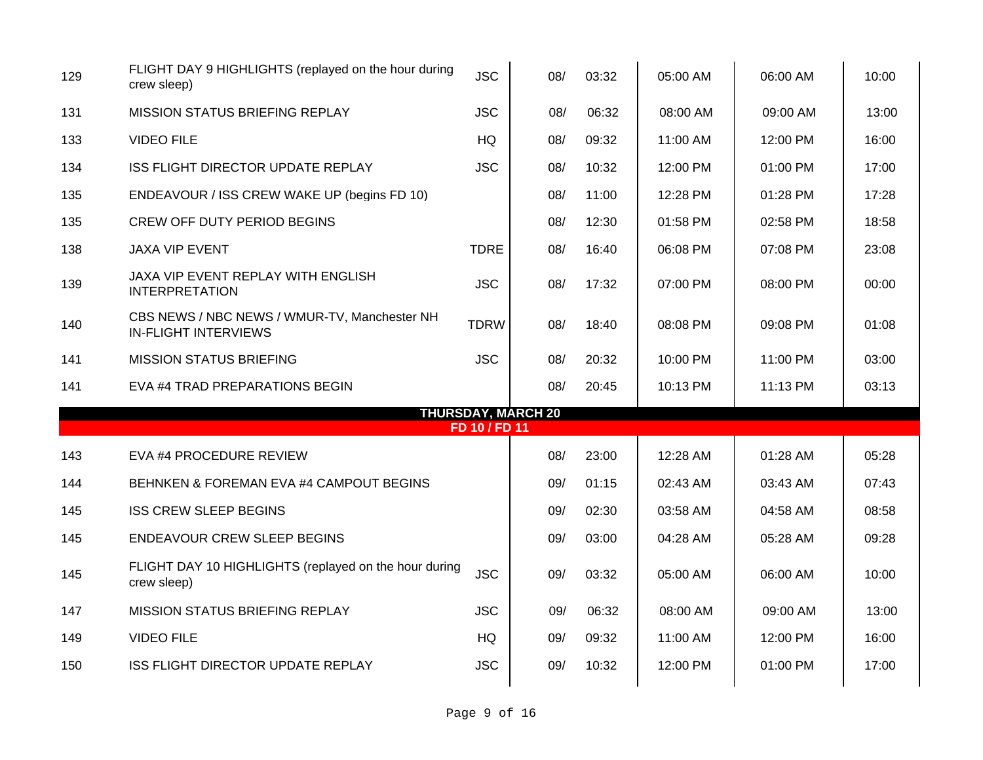| 129 | FLIGHT DAY 9 HIGHLIGHTS (replayed on the hour during<br>crew sleep)         | <b>JSC</b>    | 08/                       | 03:32 | 05:00 AM | 06:00 AM | 10:00 |
|-----|-----------------------------------------------------------------------------|---------------|---------------------------|-------|----------|----------|-------|
| 131 | MISSION STATUS BRIEFING REPLAY                                              | <b>JSC</b>    | 08/                       | 06:32 | 08:00 AM | 09:00 AM | 13:00 |
| 133 | <b>VIDEO FILE</b>                                                           | <b>HQ</b>     | 08/                       | 09:32 | 11:00 AM | 12:00 PM | 16:00 |
| 134 | <b>ISS FLIGHT DIRECTOR UPDATE REPLAY</b>                                    | <b>JSC</b>    | 08/                       | 10:32 | 12:00 PM | 01:00 PM | 17:00 |
| 135 | ENDEAVOUR / ISS CREW WAKE UP (begins FD 10)                                 |               | 08/                       | 11:00 | 12:28 PM | 01:28 PM | 17:28 |
| 135 | <b>CREW OFF DUTY PERIOD BEGINS</b>                                          |               | 08/                       | 12:30 | 01:58 PM | 02:58 PM | 18:58 |
| 138 | <b>JAXA VIP EVENT</b>                                                       | <b>TDRE</b>   | 08/                       | 16:40 | 06:08 PM | 07:08 PM | 23:08 |
| 139 | JAXA VIP EVENT REPLAY WITH ENGLISH<br><b>INTERPRETATION</b>                 | <b>JSC</b>    | 08/                       | 17:32 | 07:00 PM | 08:00 PM | 00:00 |
| 140 | CBS NEWS / NBC NEWS / WMUR-TV, Manchester NH<br><b>IN-FLIGHT INTERVIEWS</b> | <b>TDRW</b>   | 08/                       | 18:40 | 08:08 PM | 09:08 PM | 01:08 |
| 141 | <b>MISSION STATUS BRIEFING</b>                                              | <b>JSC</b>    | 08/                       | 20:32 | 10:00 PM | 11:00 PM | 03:00 |
| 141 | EVA #4 TRAD PREPARATIONS BEGIN                                              |               | 08/                       | 20:45 | 10:13 PM | 11:13 PM | 03:13 |
|     |                                                                             | FD 10 / FD 11 | <b>THURSDAY, MARCH 20</b> |       |          |          |       |
| 143 | EVA #4 PROCEDURE REVIEW                                                     |               | 08/                       | 23:00 | 12:28 AM | 01:28 AM | 05:28 |
| 144 | BEHNKEN & FOREMAN EVA #4 CAMPOUT BEGINS                                     |               | 09/                       | 01:15 | 02:43 AM | 03:43 AM | 07:43 |
| 145 | <b>ISS CREW SLEEP BEGINS</b>                                                |               | 09/                       | 02:30 | 03:58 AM | 04:58 AM | 08:58 |
| 145 | <b>ENDEAVOUR CREW SLEEP BEGINS</b>                                          |               | 09/                       | 03:00 | 04:28 AM | 05:28 AM | 09:28 |
| 145 | FLIGHT DAY 10 HIGHLIGHTS (replayed on the hour during<br>crew sleep)        | <b>JSC</b>    | 09/                       | 03:32 | 05:00 AM | 06:00 AM | 10:00 |
| 147 | MISSION STATUS BRIEFING REPLAY                                              | <b>JSC</b>    | 09/                       | 06:32 | 08:00 AM | 09:00 AM | 13:00 |
| 149 | <b>VIDEO FILE</b>                                                           | HQ            | 09/                       | 09:32 | 11:00 AM | 12:00 PM | 16:00 |
| 150 | ISS FLIGHT DIRECTOR UPDATE REPLAY                                           | <b>JSC</b>    | 09/                       | 10:32 | 12:00 PM | 01:00 PM | 17:00 |
|     |                                                                             |               |                           |       |          |          |       |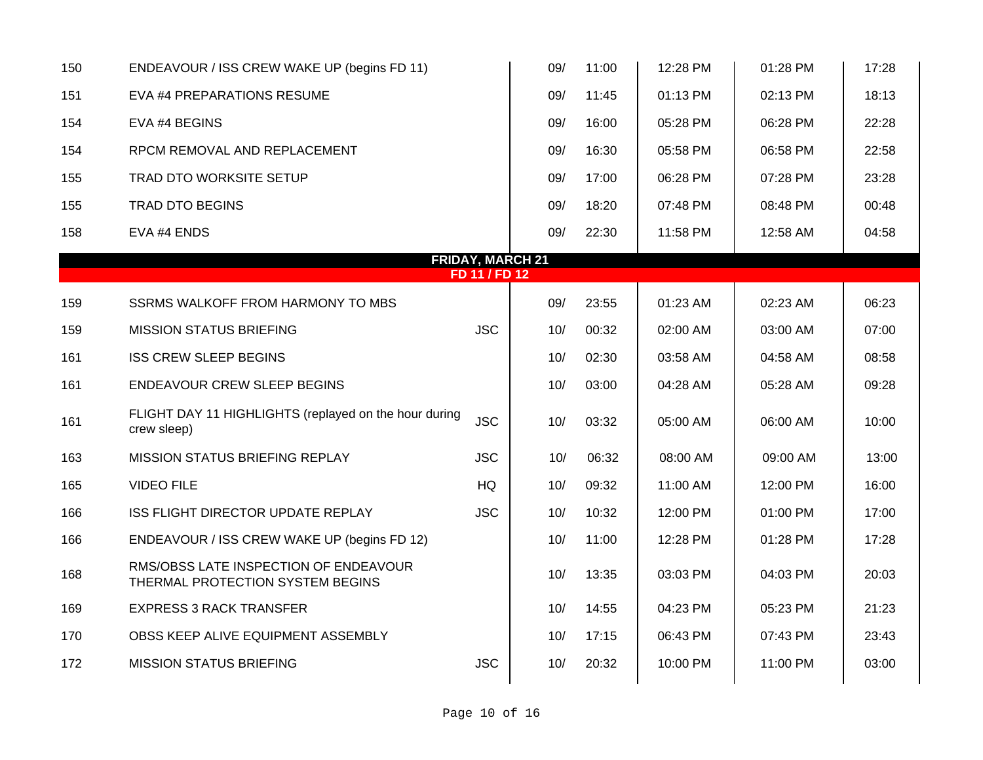| 150 | ENDEAVOUR / ISS CREW WAKE UP (begins FD 11)                               |                                          | 09/ | 11:00 | 12:28 PM   | 01:28 PM | 17:28 |
|-----|---------------------------------------------------------------------------|------------------------------------------|-----|-------|------------|----------|-------|
| 151 | EVA #4 PREPARATIONS RESUME                                                |                                          | 09/ | 11:45 | $01:13$ PM | 02:13 PM | 18:13 |
| 154 | EVA #4 BEGINS                                                             |                                          | 09/ | 16:00 | 05:28 PM   | 06:28 PM | 22:28 |
| 154 | RPCM REMOVAL AND REPLACEMENT                                              |                                          | 09/ | 16:30 | 05:58 PM   | 06:58 PM | 22:58 |
| 155 | TRAD DTO WORKSITE SETUP                                                   |                                          | 09/ | 17:00 | 06:28 PM   | 07:28 PM | 23:28 |
| 155 | <b>TRAD DTO BEGINS</b>                                                    |                                          | 09/ | 18:20 | 07:48 PM   | 08:48 PM | 00:48 |
| 158 | EVA #4 ENDS                                                               |                                          | 09/ | 22:30 | 11:58 PM   | 12:58 AM | 04:58 |
|     |                                                                           | <b>FRIDAY, MARCH 21</b><br>FD 11 / FD 12 |     |       |            |          |       |
|     |                                                                           |                                          |     |       |            |          |       |
| 159 | SSRMS WALKOFF FROM HARMONY TO MBS                                         |                                          | 09/ | 23:55 | 01:23 AM   | 02:23 AM | 06:23 |
| 159 | <b>MISSION STATUS BRIEFING</b>                                            | <b>JSC</b>                               | 10/ | 00:32 | 02:00 AM   | 03:00 AM | 07:00 |
| 161 | <b>ISS CREW SLEEP BEGINS</b>                                              |                                          | 10/ | 02:30 | 03:58 AM   | 04:58 AM | 08:58 |
| 161 | <b>ENDEAVOUR CREW SLEEP BEGINS</b>                                        |                                          | 10/ | 03:00 | 04:28 AM   | 05:28 AM | 09:28 |
| 161 | FLIGHT DAY 11 HIGHLIGHTS (replayed on the hour during<br>crew sleep)      | <b>JSC</b>                               | 10/ | 03:32 | 05:00 AM   | 06:00 AM | 10:00 |
| 163 | MISSION STATUS BRIEFING REPLAY                                            | <b>JSC</b>                               | 10/ | 06:32 | 08:00 AM   | 09:00 AM | 13:00 |
| 165 | <b>VIDEO FILE</b>                                                         | HQ                                       | 10/ | 09:32 | 11:00 AM   | 12:00 PM | 16:00 |
| 166 | ISS FLIGHT DIRECTOR UPDATE REPLAY                                         | <b>JSC</b>                               | 10/ | 10:32 | 12:00 PM   | 01:00 PM | 17:00 |
| 166 | ENDEAVOUR / ISS CREW WAKE UP (begins FD 12)                               |                                          | 10/ | 11:00 | 12:28 PM   | 01:28 PM | 17:28 |
| 168 | RMS/OBSS LATE INSPECTION OF ENDEAVOUR<br>THERMAL PROTECTION SYSTEM BEGINS |                                          | 10/ | 13:35 | 03:03 PM   | 04:03 PM | 20:03 |
| 169 | <b>EXPRESS 3 RACK TRANSFER</b>                                            |                                          | 10/ | 14:55 | 04:23 PM   | 05:23 PM | 21:23 |
| 170 | OBSS KEEP ALIVE EQUIPMENT ASSEMBLY                                        |                                          | 10/ | 17:15 | 06:43 PM   | 07:43 PM | 23:43 |
| 172 | <b>MISSION STATUS BRIEFING</b>                                            | <b>JSC</b>                               | 10/ | 20:32 | 10:00 PM   | 11:00 PM | 03:00 |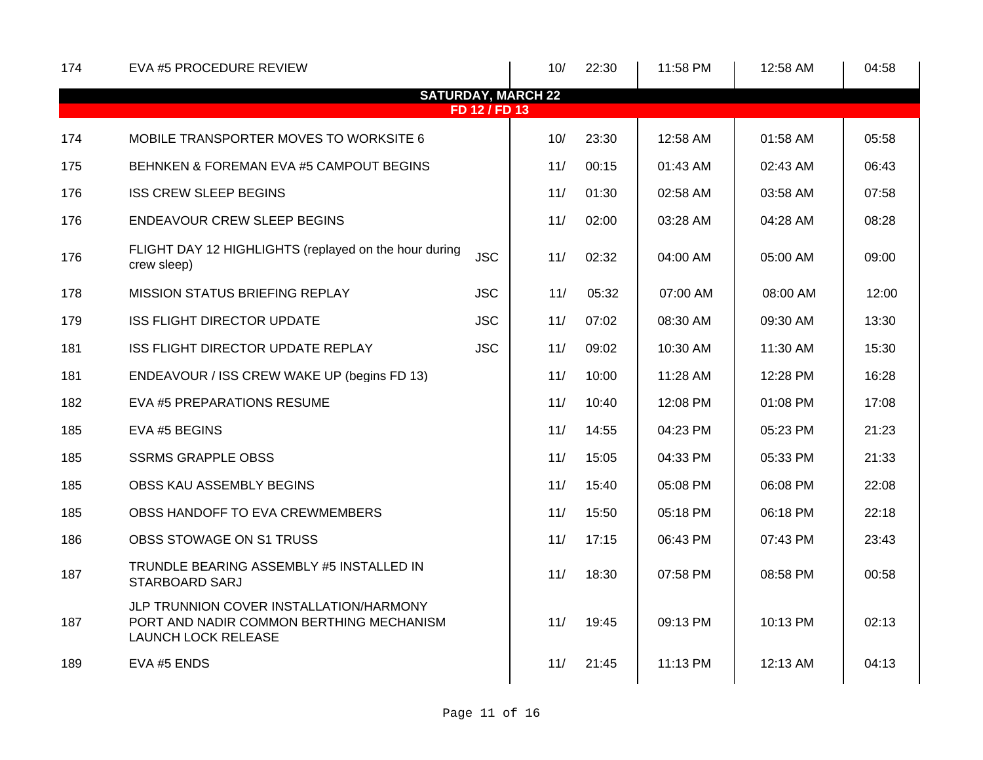| 174 | EVA #5 PROCEDURE REVIEW                                                                                           |               | 10/                       | 22:30 | 11:58 PM | 12:58 AM | 04:58 |
|-----|-------------------------------------------------------------------------------------------------------------------|---------------|---------------------------|-------|----------|----------|-------|
|     |                                                                                                                   |               | <b>SATURDAY, MARCH 22</b> |       |          |          |       |
|     |                                                                                                                   | FD 12 / FD 13 |                           |       |          |          |       |
| 174 | MOBILE TRANSPORTER MOVES TO WORKSITE 6                                                                            |               | 10/                       | 23:30 | 12:58 AM | 01:58 AM | 05:58 |
| 175 | BEHNKEN & FOREMAN EVA #5 CAMPOUT BEGINS                                                                           |               | 11/                       | 00:15 | 01:43 AM | 02:43 AM | 06:43 |
| 176 | <b>ISS CREW SLEEP BEGINS</b>                                                                                      |               | 11/                       | 01:30 | 02:58 AM | 03:58 AM | 07:58 |
| 176 | <b>ENDEAVOUR CREW SLEEP BEGINS</b>                                                                                |               | 11/                       | 02:00 | 03:28 AM | 04:28 AM | 08:28 |
| 176 | FLIGHT DAY 12 HIGHLIGHTS (replayed on the hour during<br>crew sleep)                                              | <b>JSC</b>    | 11/                       | 02:32 | 04:00 AM | 05:00 AM | 09:00 |
| 178 | <b>MISSION STATUS BRIEFING REPLAY</b>                                                                             | <b>JSC</b>    | 11/                       | 05:32 | 07:00 AM | 08:00 AM | 12:00 |
| 179 | <b>ISS FLIGHT DIRECTOR UPDATE</b>                                                                                 | <b>JSC</b>    | 11/                       | 07:02 | 08:30 AM | 09:30 AM | 13:30 |
| 181 | ISS FLIGHT DIRECTOR UPDATE REPLAY                                                                                 | <b>JSC</b>    | 11/                       | 09:02 | 10:30 AM | 11:30 AM | 15:30 |
| 181 | ENDEAVOUR / ISS CREW WAKE UP (begins FD 13)                                                                       |               | 11/                       | 10:00 | 11:28 AM | 12:28 PM | 16:28 |
| 182 | EVA #5 PREPARATIONS RESUME                                                                                        |               | 11/                       | 10:40 | 12:08 PM | 01:08 PM | 17:08 |
| 185 | EVA #5 BEGINS                                                                                                     |               | 11/                       | 14:55 | 04:23 PM | 05:23 PM | 21:23 |
| 185 | <b>SSRMS GRAPPLE OBSS</b>                                                                                         |               | 11/                       | 15:05 | 04:33 PM | 05:33 PM | 21:33 |
| 185 | OBSS KAU ASSEMBLY BEGINS                                                                                          |               | 11/                       | 15:40 | 05:08 PM | 06:08 PM | 22:08 |
| 185 | OBSS HANDOFF TO EVA CREWMEMBERS                                                                                   |               | 11/                       | 15:50 | 05:18 PM | 06:18 PM | 22:18 |
| 186 | OBSS STOWAGE ON S1 TRUSS                                                                                          |               | 11/                       | 17:15 | 06:43 PM | 07:43 PM | 23:43 |
| 187 | TRUNDLE BEARING ASSEMBLY #5 INSTALLED IN<br><b>STARBOARD SARJ</b>                                                 |               | 11/                       | 18:30 | 07:58 PM | 08:58 PM | 00:58 |
| 187 | JLP TRUNNION COVER INSTALLATION/HARMONY<br>PORT AND NADIR COMMON BERTHING MECHANISM<br><b>LAUNCH LOCK RELEASE</b> |               | 11/                       | 19:45 | 09:13 PM | 10:13 PM | 02:13 |
| 189 | EVA #5 ENDS                                                                                                       |               | 11/                       | 21:45 | 11:13 PM | 12:13 AM | 04:13 |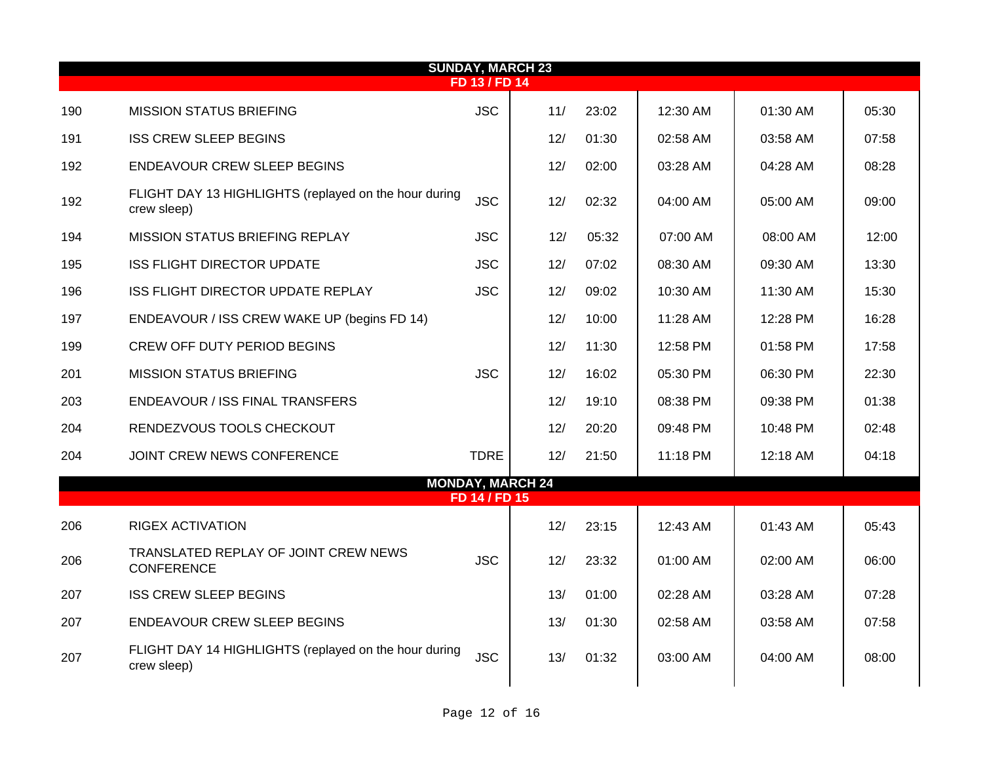| <b>SUNDAY, MARCH 23</b> |                                                                      |               |                         |       |          |          |       |  |  |  |  |  |
|-------------------------|----------------------------------------------------------------------|---------------|-------------------------|-------|----------|----------|-------|--|--|--|--|--|
|                         | <b>FD 13 / FD 14</b>                                                 |               |                         |       |          |          |       |  |  |  |  |  |
| 190                     | <b>MISSION STATUS BRIEFING</b>                                       | <b>JSC</b>    | 11/                     | 23:02 | 12:30 AM | 01:30 AM | 05:30 |  |  |  |  |  |
| 191                     | <b>ISS CREW SLEEP BEGINS</b>                                         |               | 12/                     | 01:30 | 02:58 AM | 03:58 AM | 07:58 |  |  |  |  |  |
| 192                     | <b>ENDEAVOUR CREW SLEEP BEGINS</b>                                   |               | 12/                     | 02:00 | 03:28 AM | 04:28 AM | 08:28 |  |  |  |  |  |
| 192                     | FLIGHT DAY 13 HIGHLIGHTS (replayed on the hour during<br>crew sleep) | <b>JSC</b>    | 12/                     | 02:32 | 04:00 AM | 05:00 AM | 09:00 |  |  |  |  |  |
| 194                     | <b>MISSION STATUS BRIEFING REPLAY</b>                                | <b>JSC</b>    | 12/                     | 05:32 | 07:00 AM | 08:00 AM | 12:00 |  |  |  |  |  |
| 195                     | <b>ISS FLIGHT DIRECTOR UPDATE</b>                                    | <b>JSC</b>    | 12/                     | 07:02 | 08:30 AM | 09:30 AM | 13:30 |  |  |  |  |  |
| 196                     | ISS FLIGHT DIRECTOR UPDATE REPLAY                                    | <b>JSC</b>    | 12/                     | 09:02 | 10:30 AM | 11:30 AM | 15:30 |  |  |  |  |  |
| 197                     | ENDEAVOUR / ISS CREW WAKE UP (begins FD 14)                          |               | 12/                     | 10:00 | 11:28 AM | 12:28 PM | 16:28 |  |  |  |  |  |
| 199                     | <b>CREW OFF DUTY PERIOD BEGINS</b>                                   |               | 12/                     | 11:30 | 12:58 PM | 01:58 PM | 17:58 |  |  |  |  |  |
| 201                     | <b>MISSION STATUS BRIEFING</b>                                       | <b>JSC</b>    | 12/                     | 16:02 | 05:30 PM | 06:30 PM | 22:30 |  |  |  |  |  |
| 203                     | ENDEAVOUR / ISS FINAL TRANSFERS                                      |               | 12/                     | 19:10 | 08:38 PM | 09:38 PM | 01:38 |  |  |  |  |  |
| 204                     | RENDEZVOUS TOOLS CHECKOUT                                            |               | 12/                     | 20:20 | 09:48 PM | 10:48 PM | 02:48 |  |  |  |  |  |
| 204                     | JOINT CREW NEWS CONFERENCE                                           | <b>TDRE</b>   | 12/                     | 21:50 | 11:18 PM | 12:18 AM | 04:18 |  |  |  |  |  |
|                         |                                                                      |               | <b>MONDAY, MARCH 24</b> |       |          |          |       |  |  |  |  |  |
|                         |                                                                      | FD 14 / FD 15 |                         |       |          |          |       |  |  |  |  |  |
| 206                     | <b>RIGEX ACTIVATION</b>                                              |               | 12/                     | 23:15 | 12:43 AM | 01:43 AM | 05:43 |  |  |  |  |  |
| 206                     | TRANSLATED REPLAY OF JOINT CREW NEWS<br><b>CONFERENCE</b>            | <b>JSC</b>    | 12/                     | 23:32 | 01:00 AM | 02:00 AM | 06:00 |  |  |  |  |  |
| 207                     | <b>ISS CREW SLEEP BEGINS</b>                                         |               | 13/                     | 01:00 | 02:28 AM | 03:28 AM | 07:28 |  |  |  |  |  |
| 207                     | ENDEAVOUR CREW SLEEP BEGINS                                          |               | 13/                     | 01:30 | 02:58 AM | 03:58 AM | 07:58 |  |  |  |  |  |
| 207                     | FLIGHT DAY 14 HIGHLIGHTS (replayed on the hour during<br>crew sleep) | <b>JSC</b>    | 13/                     | 01:32 | 03:00 AM | 04:00 AM | 08:00 |  |  |  |  |  |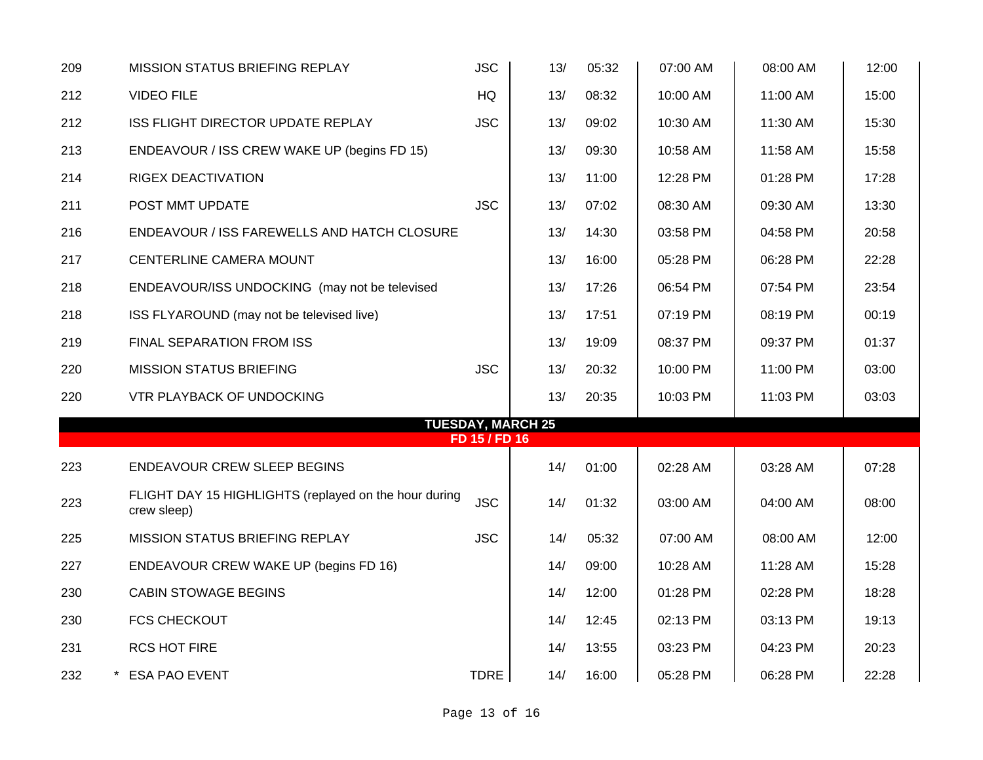| 209 | <b>MISSION STATUS BRIEFING REPLAY</b>                                | <b>JSC</b>    | 13/ | 05:32 | 07:00 AM | 08:00 AM | 12:00 |
|-----|----------------------------------------------------------------------|---------------|-----|-------|----------|----------|-------|
| 212 | <b>VIDEO FILE</b>                                                    | HQ            | 13/ | 08:32 | 10:00 AM | 11:00 AM | 15:00 |
| 212 | <b>ISS FLIGHT DIRECTOR UPDATE REPLAY</b>                             | <b>JSC</b>    | 13/ | 09:02 | 10:30 AM | 11:30 AM | 15:30 |
| 213 | ENDEAVOUR / ISS CREW WAKE UP (begins FD 15)                          |               | 13/ | 09:30 | 10:58 AM | 11:58 AM | 15:58 |
| 214 | RIGEX DEACTIVATION                                                   |               | 13/ | 11:00 | 12:28 PM | 01:28 PM | 17:28 |
| 211 | POST MMT UPDATE                                                      | <b>JSC</b>    | 13/ | 07:02 | 08:30 AM | 09:30 AM | 13:30 |
| 216 | ENDEAVOUR / ISS FAREWELLS AND HATCH CLOSURE                          |               | 13/ | 14:30 | 03:58 PM | 04:58 PM | 20:58 |
| 217 | CENTERLINE CAMERA MOUNT                                              |               | 13/ | 16:00 | 05:28 PM | 06:28 PM | 22:28 |
| 218 | ENDEAVOUR/ISS UNDOCKING (may not be televised                        |               | 13/ | 17:26 | 06:54 PM | 07:54 PM | 23:54 |
| 218 | ISS FLYAROUND (may not be televised live)                            |               | 13/ | 17:51 | 07:19 PM | 08:19 PM | 00:19 |
| 219 | FINAL SEPARATION FROM ISS                                            |               | 13/ | 19:09 | 08:37 PM | 09:37 PM | 01:37 |
| 220 | <b>MISSION STATUS BRIEFING</b>                                       | <b>JSC</b>    | 13/ | 20:32 | 10:00 PM | 11:00 PM | 03:00 |
| 220 | <b>VTR PLAYBACK OF UNDOCKING</b>                                     |               | 13/ | 20:35 | 10:03 PM | 11:03 PM | 03:03 |
|     | <b>TUESDAY, MARCH 25</b>                                             |               |     |       |          |          |       |
|     |                                                                      | FD 15 / FD 16 |     |       |          |          |       |
| 223 | <b>ENDEAVOUR CREW SLEEP BEGINS</b>                                   |               | 14/ | 01:00 | 02:28 AM | 03:28 AM | 07:28 |
| 223 | FLIGHT DAY 15 HIGHLIGHTS (replayed on the hour during<br>crew sleep) | <b>JSC</b>    | 14/ | 01:32 | 03:00 AM | 04:00 AM | 08:00 |
| 225 | <b>MISSION STATUS BRIEFING REPLAY</b>                                | <b>JSC</b>    | 14/ | 05:32 | 07:00 AM | 08:00 AM | 12:00 |
| 227 | ENDEAVOUR CREW WAKE UP (begins FD 16)                                |               | 14/ | 09:00 | 10:28 AM | 11:28 AM | 15:28 |
| 230 | <b>CABIN STOWAGE BEGINS</b>                                          |               | 14/ | 12:00 | 01:28 PM | 02:28 PM | 18:28 |
| 230 | <b>FCS CHECKOUT</b>                                                  |               | 14/ | 12:45 | 02:13 PM | 03:13 PM | 19:13 |
| 231 | <b>RCS HOT FIRE</b>                                                  |               | 14/ | 13:55 | 03:23 PM | 04:23 PM | 20:23 |
| 232 | * ESA PAO EVENT                                                      | <b>TDRE</b>   | 14/ | 16:00 | 05:28 PM | 06:28 PM | 22:28 |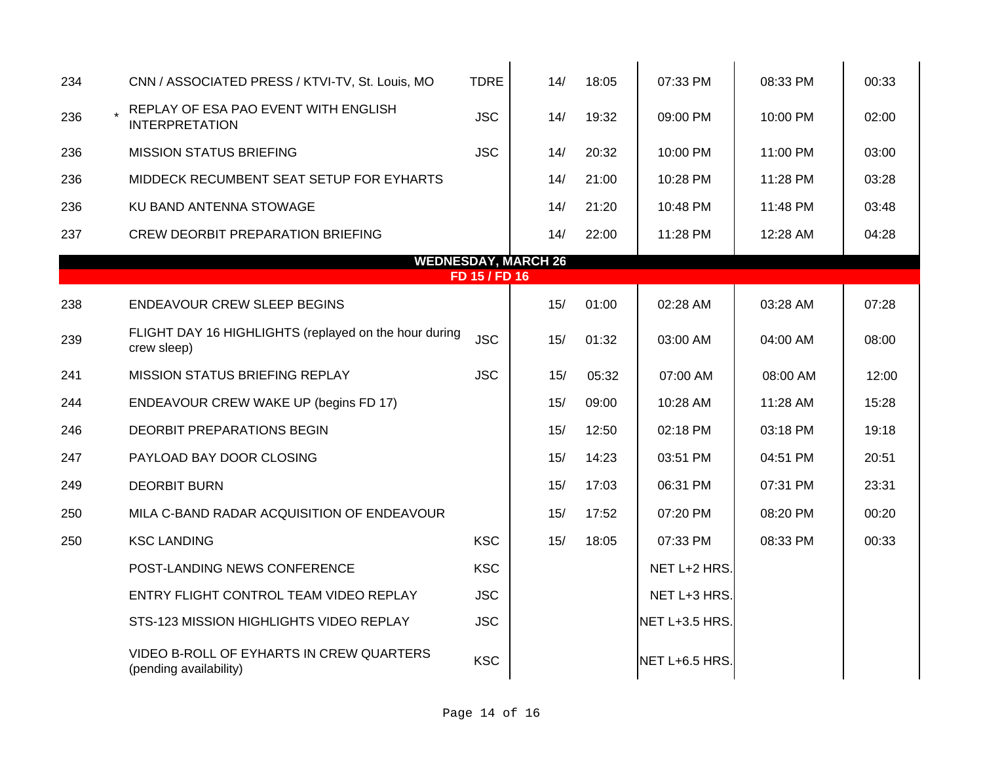| 234 | CNN / ASSOCIATED PRESS / KTVI-TV, St. Louis, MO                      | <b>TDRE</b>   | 14/                        | 18:05 | 07:33 PM       | 08:33 PM | 00:33 |
|-----|----------------------------------------------------------------------|---------------|----------------------------|-------|----------------|----------|-------|
| 236 | REPLAY OF ESA PAO EVENT WITH ENGLISH<br><b>INTERPRETATION</b>        | <b>JSC</b>    | 14/                        | 19:32 | 09:00 PM       | 10:00 PM | 02:00 |
| 236 | <b>MISSION STATUS BRIEFING</b>                                       | <b>JSC</b>    | 14/                        | 20:32 | 10:00 PM       | 11:00 PM | 03:00 |
| 236 | MIDDECK RECUMBENT SEAT SETUP FOR EYHARTS                             |               | 14/                        | 21:00 | 10:28 PM       | 11:28 PM | 03:28 |
| 236 | KU BAND ANTENNA STOWAGE                                              |               | 14/                        | 21:20 | 10:48 PM       | 11:48 PM | 03:48 |
| 237 | <b>CREW DEORBIT PREPARATION BRIEFING</b>                             |               | 14/                        | 22:00 | 11:28 PM       | 12:28 AM | 04:28 |
|     |                                                                      |               | <b>WEDNESDAY, MARCH 26</b> |       |                |          |       |
|     |                                                                      | FD 15 / FD 16 |                            |       |                |          |       |
| 238 | <b>ENDEAVOUR CREW SLEEP BEGINS</b>                                   |               | 15/                        | 01:00 | 02:28 AM       | 03:28 AM | 07:28 |
| 239 | FLIGHT DAY 16 HIGHLIGHTS (replayed on the hour during<br>crew sleep) | <b>JSC</b>    | 15/                        | 01:32 | 03:00 AM       | 04:00 AM | 08:00 |
| 241 | MISSION STATUS BRIEFING REPLAY                                       | <b>JSC</b>    | 15/                        | 05:32 | 07:00 AM       | 08:00 AM | 12:00 |
| 244 | ENDEAVOUR CREW WAKE UP (begins FD 17)                                |               | 15/                        | 09:00 | 10:28 AM       | 11:28 AM | 15:28 |
| 246 | DEORBIT PREPARATIONS BEGIN                                           |               | 15/                        | 12:50 | 02:18 PM       | 03:18 PM | 19:18 |
| 247 | PAYLOAD BAY DOOR CLOSING                                             |               | 15/                        | 14:23 | 03:51 PM       | 04:51 PM | 20:51 |
| 249 | <b>DEORBIT BURN</b>                                                  |               | 15/                        | 17:03 | 06:31 PM       | 07:31 PM | 23:31 |
| 250 | MILA C-BAND RADAR ACQUISITION OF ENDEAVOUR                           |               | 15/                        | 17:52 | 07:20 PM       | 08:20 PM | 00:20 |
| 250 | <b>KSC LANDING</b>                                                   | <b>KSC</b>    | 15/                        | 18:05 | 07:33 PM       | 08:33 PM | 00:33 |
|     | POST-LANDING NEWS CONFERENCE                                         | <b>KSC</b>    |                            |       | NET L+2 HRS.   |          |       |
|     | ENTRY FLIGHT CONTROL TEAM VIDEO REPLAY                               | <b>JSC</b>    |                            |       | NET L+3 HRS.   |          |       |
|     | STS-123 MISSION HIGHLIGHTS VIDEO REPLAY                              | <b>JSC</b>    |                            |       | NET L+3.5 HRS. |          |       |
|     | VIDEO B-ROLL OF EYHARTS IN CREW QUARTERS<br>(pending availability)   | <b>KSC</b>    |                            |       | NET L+6.5 HRS. |          |       |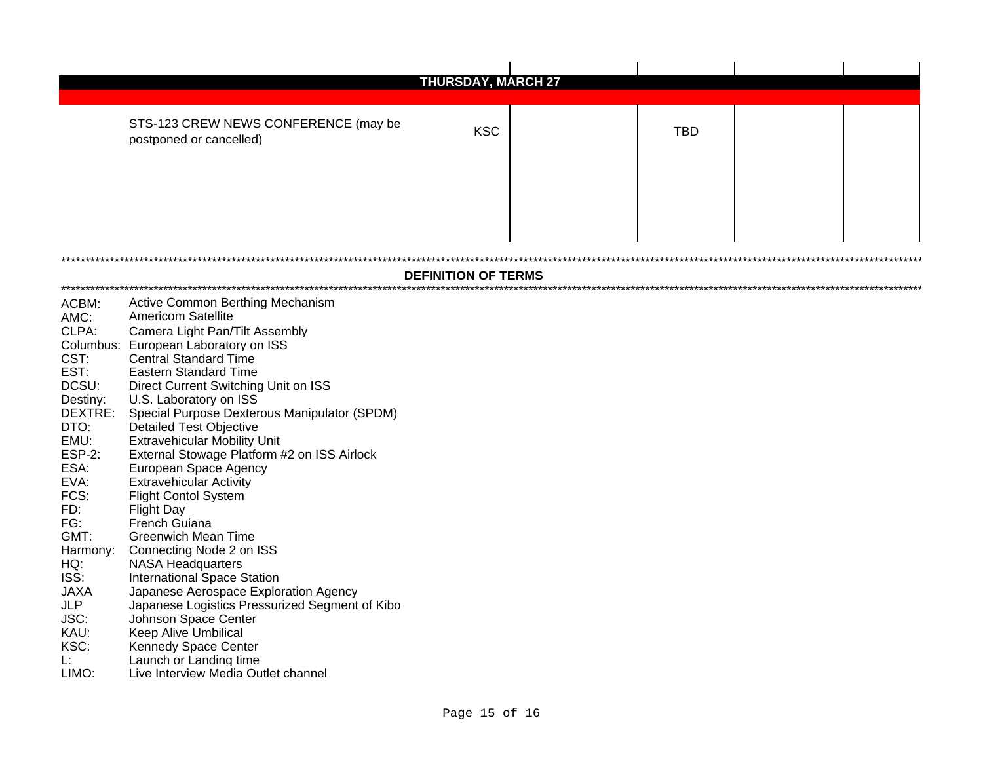|                                                                                                                                                                                                                                               | <b>THURSDAY, MARCH 27</b>                                                                                                                                                                                                                                                                                                                                                                                                                                                                                                                                                                                                                                                                                                                                                                                                                                                                                                                                       |                            |  |            |  |  |  |
|-----------------------------------------------------------------------------------------------------------------------------------------------------------------------------------------------------------------------------------------------|-----------------------------------------------------------------------------------------------------------------------------------------------------------------------------------------------------------------------------------------------------------------------------------------------------------------------------------------------------------------------------------------------------------------------------------------------------------------------------------------------------------------------------------------------------------------------------------------------------------------------------------------------------------------------------------------------------------------------------------------------------------------------------------------------------------------------------------------------------------------------------------------------------------------------------------------------------------------|----------------------------|--|------------|--|--|--|
|                                                                                                                                                                                                                                               | STS-123 CREW NEWS CONFERENCE (may be<br>postponed or cancelled)                                                                                                                                                                                                                                                                                                                                                                                                                                                                                                                                                                                                                                                                                                                                                                                                                                                                                                 | <b>KSC</b>                 |  | <b>TBD</b> |  |  |  |
|                                                                                                                                                                                                                                               |                                                                                                                                                                                                                                                                                                                                                                                                                                                                                                                                                                                                                                                                                                                                                                                                                                                                                                                                                                 | <b>DEFINITION OF TERMS</b> |  |            |  |  |  |
| ACBM:<br>AMC:<br>CLPA:<br>CST:<br>EST:<br>DCSU:<br>Destiny:<br>DEXTRE:<br>DTO:<br>EMU:<br><b>ESP-2:</b><br>ESA:<br>EVA:<br>FCS:<br>FD:<br>FG:<br>GMT:<br>Harmony:<br>HQ:<br>ISS:<br><b>JAXA</b><br>JLP<br>JSC:<br>KAU:<br>KSC:<br>Ŀ.<br>LIMO: | Active Common Berthing Mechanism<br><b>Americom Satellite</b><br>Camera Light Pan/Tilt Assembly<br>Columbus: European Laboratory on ISS<br><b>Central Standard Time</b><br><b>Eastern Standard Time</b><br>Direct Current Switching Unit on ISS<br>U.S. Laboratory on ISS<br>Special Purpose Dexterous Manipulator (SPDM)<br><b>Detailed Test Objective</b><br><b>Extravehicular Mobility Unit</b><br>External Stowage Platform #2 on ISS Airlock<br>European Space Agency<br><b>Extravehicular Activity</b><br><b>Flight Contol System</b><br><b>Flight Day</b><br><b>French Guiana</b><br><b>Greenwich Mean Time</b><br>Connecting Node 2 on ISS<br><b>NASA Headquarters</b><br><b>International Space Station</b><br>Japanese Aerospace Exploration Agency<br>Japanese Logistics Pressurized Segment of Kibo<br>Johnson Space Center<br><b>Keep Alive Umbilical</b><br>Kennedy Space Center<br>Launch or Landing time<br>Live Interview Media Outlet channel |                            |  |            |  |  |  |